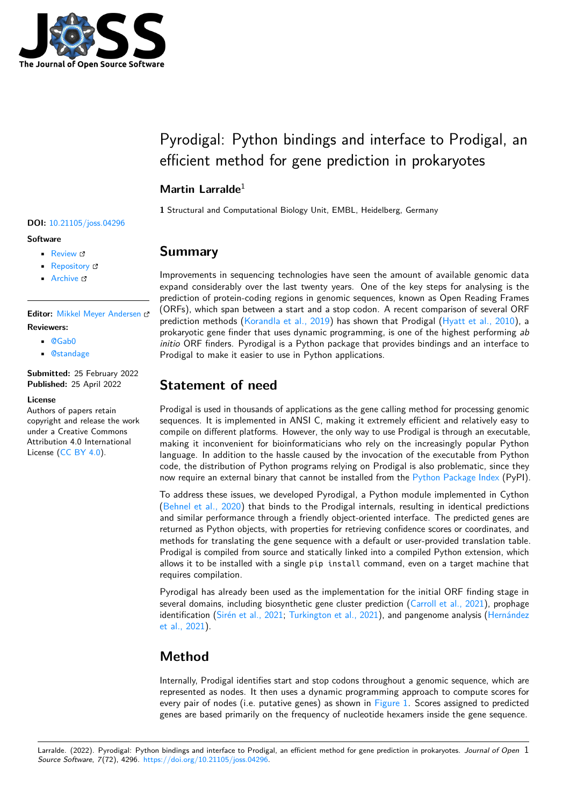

# Pyrodigal: Python bindings and interface to Prodigal, an efficient method for gene prediction in prokaryotes

### **Martin Larralde**<sup>1</sup>

**1** Structural and Computational Biology Unit, EMBL, Heidelberg, Germany

## **Summary**

Improvements in sequencing technologies have seen the amount of available genomic data expand considerably over the last twenty years. One of the key steps for analysing is the prediction of protein-coding regions in genomic sequences, known as Open Reading Frames (ORFs), which span between a start and a stop codon. A recent comparison of several ORF prediction methods [\(Korandla et al., 2019\)](#page-3-0) has shown that Prodigal [\(Hyatt et al., 2010\)](#page-3-1), a prokaryotic gene finder that uses dynamic programming, is one of the highest performing ab initio ORF finders. Pyrodigal is a Python package that provides bindings and an interface to Prodigal to make it easier to use in Python applications.

# **Statement of need**

Prodigal is used in thousands of applications as the gene calling method for processing genomic sequences. It is implemented in ANSI C, making it extremely efficient and relatively easy to compile on different platforms. However, the only way to use Prodigal is through an executable, making it inconvenient for bioinformaticians who rely on the increasingly popular Python language. In addition to the hassle caused by the invocation of the executable from Python code, the distribution of Python programs relying on Prodigal is also problematic, since they now require an external binary that cannot be installed from the [Python Package Index](https://pypi.org) (PyPI).

To address these issues, we developed Pyrodigal, a Python module implemented in Cython [\(Behnel et al., 2020\)](#page-3-2) that binds to the Prodigal internals, resulting in identical predictions and similar performance through a friendly object-oriented interface. The predicted genes are returned as Python objects, with properties for retrieving confidence scores or coordinates, and methods for translating the gene sequence with a default or user-provided translation table. Prodigal is compiled from source and statically linked into a compiled Python extension, which allows it to be installed with a single pip install command, even on a target machine that requires compilation.

Pyrodigal has already been used as the implementation for the initial ORF finding stage in several domains, including biosynthetic gene cluster prediction [\(Carroll et al., 2021\)](#page-3-3), prophage identification [\(Sirén et al., 2021;](#page-3-4) [Turkington et al., 2021\)](#page-3-5), and pangenome analysis [\(Hernández](#page-3-6) [et al., 2021\)](#page-3-6).

# **Method**

Internally, Prodigal identifies start and stop codons throughout a genomic sequence, which are represented as nodes. It then uses a dynamic programming approach to compute scores for every pair of nodes (i.e. putative genes) as shown in [Figure 1.](#page-1-0) Scores assigned to predicted genes are based primarily on the frequency of nucleotide hexamers inside the gene sequence.

#### **DOI:** [10.21105/joss.04296](https://doi.org/10.21105/joss.04296)

#### **Software**

- [Review](https://github.com/openjournals/joss-reviews/issues/4296) &
- [Repository](https://github.com/althonos/pyrodigal/) &
- [Archive](https://doi.org/10.5281/zenodo.6472583) &

**Editor:** [Mikkel Meyer Andersen](https://twitter.com/mikldk) **Reviewers:**

- [@Gab0](https://github.com/Gab0)
- [@standage](https://github.com/standage)

**Submitted:** 25 February 2022 **Published:** 25 April 2022

#### **License**

Authors of papers retain copyright and release the work under a Creative Commons Attribution 4.0 International License [\(CC BY 4.0\)](https://creativecommons.org/licenses/by/4.0/).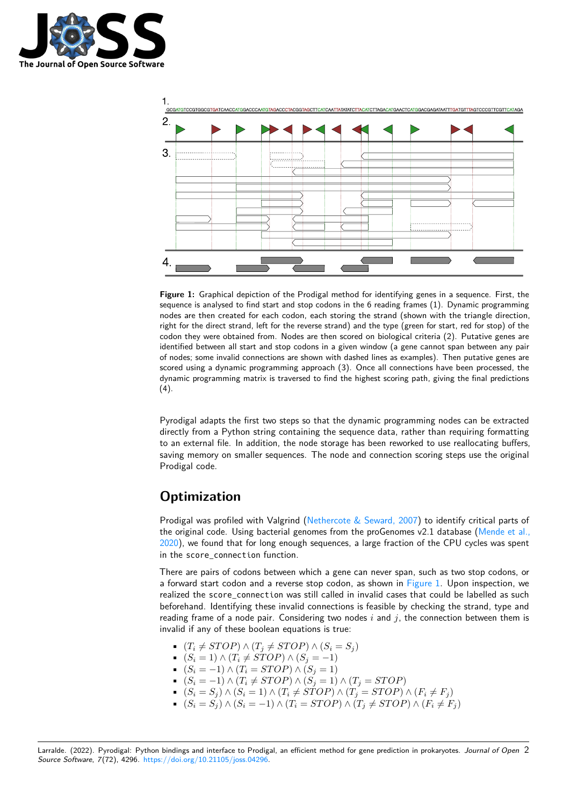

<span id="page-1-0"></span>

**Figure 1:** Graphical depiction of the Prodigal method for identifying genes in a sequence. First, the sequence is analysed to find start and stop codons in the 6 reading frames (1). Dynamic programming nodes are then created for each codon, each storing the strand (shown with the triangle direction, right for the direct strand, left for the reverse strand) and the type (green for start, red for stop) of the codon they were obtained from. Nodes are then scored on biological criteria (2). Putative genes are identified between all start and stop codons in a given window (a gene cannot span between any pair of nodes; some invalid connections are shown with dashed lines as examples). Then putative genes are scored using a dynamic programming approach (3). Once all connections have been processed, the dynamic programming matrix is traversed to find the highest scoring path, giving the final predictions  $(4).$ 

Pyrodigal adapts the first two steps so that the dynamic programming nodes can be extracted directly from a Python string containing the sequence data, rather than requiring formatting to an external file. In addition, the node storage has been reworked to use reallocating buffers, saving memory on smaller sequences. The node and connection scoring steps use the original Prodigal code.

# **Optimization**

Prodigal was profiled with Valgrind [\(Nethercote & Seward, 2007\)](#page-3-7) to identify critical parts of the original code. Using bacterial genomes from the proGenomes v2.1 database [\(Mende et al.,](#page-3-8) [2020\)](#page-3-8), we found that for long enough sequences, a large fraction of the CPU cycles was spent in the score\_connection function.

There are pairs of codons between which a gene can never span, such as two stop codons, or a forward start codon and a reverse stop codon, as shown in [Figure 1.](#page-1-0) Upon inspection, we realized the score\_connection was still called in invalid cases that could be labelled as such beforehand. Identifying these invalid connections is feasible by checking the strand, type and reading frame of a node pair. Considering two nodes i and j, the connection between them is invalid if any of these boolean equations is true:

- $(T_i \neq STOP) \land (T_j \neq STOP) \land (S_i = S_j)$
- $(S_i = 1) \wedge (T_i \neq STOP) \wedge (S_j = -1)$
- $(S_i = -1) \wedge (T_i = STOP) \wedge (S_j = 1)$
- $(S_i = -1) \wedge (T_i \neq STOP) \wedge (S_j = 1) \wedge (T_j = STOP)$
- $(S_i = S_j) \wedge (S_i = 1) \wedge (T_i \neq STOP) \wedge (T_j = STOP) \wedge (F_i \neq F_j)$
- $(S_i = S_j) \wedge (S_i = -1) \wedge (T_i = STOP) \wedge (T_j \neq STOP) \wedge (F_i \neq F_j)$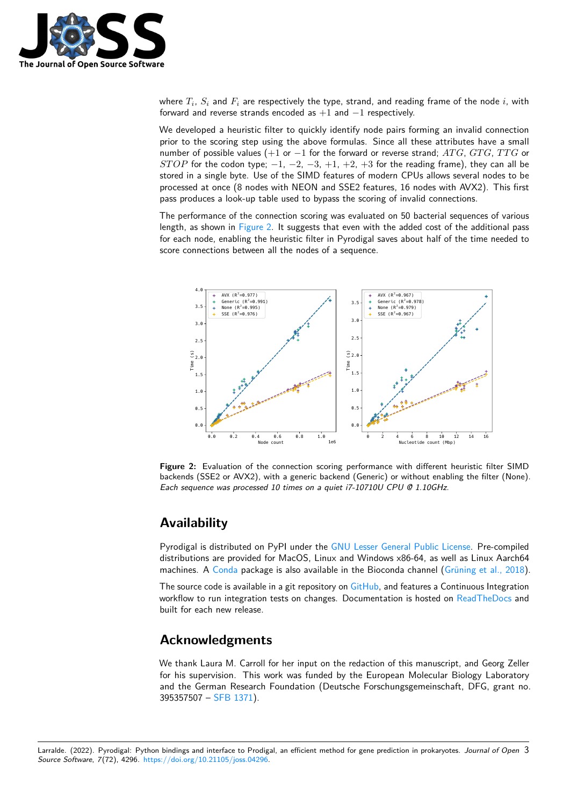

where  $T_i,\,S_i$  and  $F_i$  are respectively the type, strand, and reading frame of the node  $i$ , with forward and reverse strands encoded as  $+1$  and  $-1$  respectively.

We developed a heuristic filter to quickly identify node pairs forming an invalid connection prior to the scoring step using the above formulas. Since all these attributes have a small number of possible values (+1 or -1 for the forward or reverse strand;  $ATG$ ,  $GTG$ ,  $TTG$  or STOP for the codon type;  $-1$ ,  $-2$ ,  $-3$ ,  $+1$ ,  $+2$ ,  $+3$  for the reading frame), they can all be stored in a single byte. Use of the SIMD features of modern CPUs allows several nodes to be processed at once (8 nodes with NEON and SSE2 features, 16 nodes with AVX2). This first pass produces a look-up table used to bypass the scoring of invalid connections.

The performance of the connection scoring was evaluated on 50 bacterial sequences of various length, as shown in [Figure 2.](#page-2-0) It suggests that even with the added cost of the additional pass for each node, enabling the heuristic filter in Pyrodigal saves about half of the time needed to score connections between all the nodes of a sequence.

<span id="page-2-0"></span>

**Figure 2:** Evaluation of the connection scoring performance with different heuristic filter SIMD backends (SSE2 or AVX2), with a generic backend (Generic) or without enabling the filter (None). Each sequence was processed 10 times on a quiet i7-10710U CPU @ 1.10GHz.

### **Availability**

Pyrodigal is distributed on PyPI under the [GNU Lesser General Public License.](https://www.gnu.org/licenses/lgpl-3.0) Pre-compiled distributions are provided for MacOS, Linux and Windows x86-64, as well as Linux Aarch64 machines. A [Conda](https://conda.io/) package is also available in the Bioconda channel [\(Grüning et al., 2018\)](#page-3-9).

The source code is available in a git repository on [GitHub,](https://github.com/althonos/pyrodigal) and features a Continuous Integration workflow to run integration tests on changes. Documentation is hosted on [ReadTheDocs](https://pyrodigal.readthedocs.io) and built for each new release.

### **Acknowledgments**

We thank Laura M. Carroll for her input on the redaction of this manuscript, and Georg Zeller for his supervision. This work was funded by the European Molecular Biology Laboratory and the German Research Foundation (Deutsche Forschungsgemeinschaft, DFG, grant no. 395357507 – [SFB 1371\)](https://www.sfb1371.tum.de/).